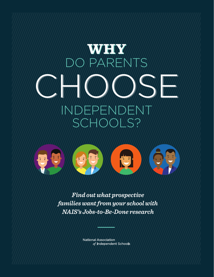# CHOOSE CHOOSE **WHY WHY** DO PARENTS INDEPENDENT SCHOOLS?



*Find out what prospective families want from your school with NAIS's Jobs-to-Be-Done research*

> **National Association** of Independent Schools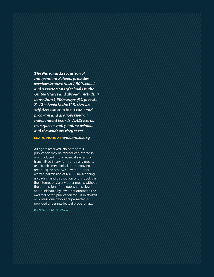*The National Association of Independent Schools provides services to more than 1,900 schools and associations of schools in the United States and abroad, including more than 1,600 nonprofit, private K–12 schools in the U.S. that are self-determining in mission and program and are governed by independent boards. NAIS works to empower independent schools and the students they serve.*

#### **LEARN MORE AT** *www.nais.org*

All rights reserved. No part of this publication may be reproduced, stored in or introduced into a retrieval system, or transmitted in any form or by any means (electronic, mechanical, photocopying, recording, or otherwise) without prior written permission of NAIS. The scanning, uploading, and distribution of this book via the Internet or via any other means without the permission of the publisher is illegal and punishable by law. Brief quotations or excerpts of this publication for use in reviews or professional works are permitted as provided under intellectual property law.

ISBN: 978-1-63115-033-3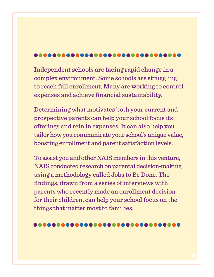Independent schools are facing rapid change in a complex environment. Some schools are struggling to reach full enrollment. Many are working to control expenses and achieve financial sustainability.

Determining what motivates both your current and prospective parents can help your school focus its offerings and rein in expenses. It can also help you tailor how you communicate your school's unique value, boosting enrollment and parent satisfaction levels.

To assist you and other NAIS members in this venture, NAIS conducted research on parental decision-making using a methodology called Jobs to Be Done. The findings, drawn from a series of interviews with parents who recently made an enrollment decision for their children, can help your school focus on the things that matter most to families.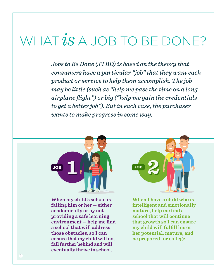## WHAT *is* A JOB TO BE DONE?

*Jobs to Be Done (JTBD) is based on the theory that consumers have a particular "job" that they want each product or service to help them accomplish. The job may be little (such as "help me pass the time on a long airplane flight") or big ("help me gain the credentials to get a better job"). But in each case, the purchaser wants to make progress in some way.* 



**When my child's school is failing him or her — either academically or by not providing a safe learning environment — help me find a school that will address those obstacles, so I can ensure that my child will not fall further behind and will eventually thrive in school.**



**When I have a child who is intelligent and emotionally mature, help me find a school that will continue that growth so I can ensure my child will fulfill his or her potential, mature, and be prepared for college.**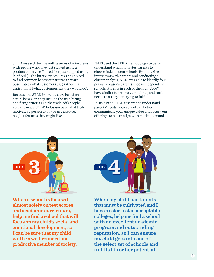JTBD research begins with a series of interviews with people who have just started using a product or service ("hired") or just stopped using it ("fired"). The interview results are analyzed to find common behavior patterns that are observable (what customers did) rather than aspirational (what customers say they would do).

Because the JTBD interviews are based on actual behavior, they include the true hiring and firing criteria and the trade-offs people actually made. JTBD helps uncover what truly motivates a person to buy or use a service, not just features they might like.

NAIS used the JTBD methodology to better understand what motivates parents to choose independent schools. By analyzing interviews with parents and conducting a cluster analysis, NAIS was able to identify four primary reasons parents choose independent schools. Parents in each of the four "Jobs" have similar functional, emotional, and social needs that they are trying to fulfill.

By using the JTBD research to understand parents' needs, your school can better communicate your unique value and focus your offerings to better align with market demand.



**When a school is focused almost solely on test scores and academic curriculum, help me find a school that will focus on my child's social and emotional development, so I can be sure that my child will be a well-rounded and productive member of society.**



**When my child has talents that must be cultivated and I have a select set of acceptable colleges, help me find a school with an excellent academic program and outstanding reputation, so I can ensure my child gets into one of the select set of schools and fulfills his or her potential.**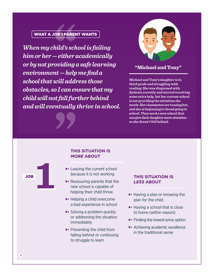### WHAT A JOB 1 PARENT WANTS

*When my child's school is failing him or her—either academically or by not providing a safe learning environment—help me find a school that will address those obstacles, so I can ensure that my child will not fall further behind and will eventually thrive in school.*



#### **"Michael and Tony"**

**Michael and Tony's daughter is in third grade and struggling with reading. She was diagnosed with dyslexia recently and started receiving some extra help, but her current school is not providing the attention she needs. Her classmates are teasing her, and she is beginning to dread going to school. They need a new school that can give their daughter more attention so she doesn't fall behind.**



#### **THIS SITUATION IS**  *MORE* **ABOUT**

- **▶ Leaving the current school** because it is not working
- **▶ Reassuring parents that the** new school is capable of helping their child thrive
- **→ Helping a child overcome** a bad experience in school
- **→** Solving a problem quickly or addressing the situation immediately
- **▶ Preventing the child from** falling behind or continuing to struggle to learn

- **→** Having a plan or knowing the plan for the child
- **→** Having a school that is close to home (within reason)
- **▶ Finding the lowest-price option**
- **▶ Achieving academic excellence** in the traditional sense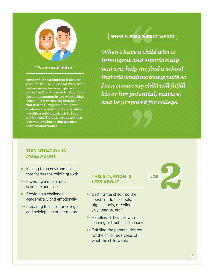

 **"Anne and John"**

**Anne and John's daughter is about to graduate from a K–8 school. They want to give her a safe space to grow and learn, free from the social distractions she may encounter in a very large high school. They are looking for a school that will challenge their daughter academically and emotionally while providing solid guardrails to keep her focused. They also want to find a community where other parents share similar values.** 

WHAT A JOB 2 PARENT WANTS

*When I have a child who is intelligent and emotionally mature, help me find a school that will continue that growth so I can ensure my child will fulfill his or her potential, mature, and be prepared for college.*

#### **THIS SITUATION IS**  *MORE* **ABOUT**

- **→ Moving to an environment** that fosters the child's growth
- **→ Providing a meaningful** school experience
- $\rightarrow$  Providing a challenge academically and emotionally
- $\rightarrow$  Preparing the child for college and helping him or her mature

- **→** Getting the child into the "best" middle schools, high schools, or colleges (Ivy League, etc.)
- **▶ Handling difficulties with** learning or troubled situations
- **EXECUPEREN** Fulfilling the parents' desires for the child, regardless of what the child wants

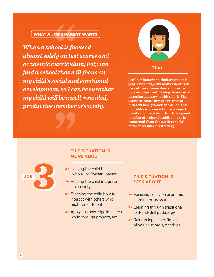#### WHAT A JOB 3 PARENT WANTS

*When a school is focused almost solely on test scores and academic curriculum, help me find a school that will focus on my child's social and emotional development, so I can be sure that my child will be a well-rounded, productive member of society.*



**Jen's son is starting kindergarten this year. Until now, Jen's mother has taken care of him at home. Jen is concerned her son is too used to being the center of attention and may be a bit selfish. She wants to expose him to kids from all different backgrounds in a school that will address his social and emotional development and teach him to be a good member of society. In addition, she is concerned about the public schools' focus on standardized testing.**



#### **THIS SITUATION IS**  *MORE* **ABOUT**

- **► Helping the child be a** "whole" or "better" person
- $\rightarrow$  Helping the child integrate into society
- **→** Teaching the child how to interact with others who might be different
- $\rightarrow$  Applying knowledge in the real world through projects, etc.

- **▶ Focusing solely on academic** learning or pressures
- **▶ Learning through traditional** skill-and-drill pedagogy
- **▶ Reinforcing a specific set** of values, morals, or ethics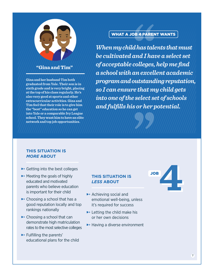

**Gina and her husband Tim both graduated from Yale. Their son is in sixth grade and is very bright, placing at the top of his class regularly. He's also very good at sports and other extracurricular activities. Gina and Tim feel that their role is to give him the "best" education so he can get into Yale or a comparable Ivy League school. They want him to have an elite network and top job opportunities.** 

### WHAT A JOB 4 PARENT WANTS

*When my child has talents that must be cultivated and I have a select set of acceptable colleges, help me find a school with an excellent academic program and outstanding reputation, so I can ensure that my child gets into one of the select set of schools and fulfills his or her potential.*

#### **THIS SITUATION IS**  *MORE* **ABOUT**

- **→** Getting into the best colleges
- $\rightarrow$  Meeting the goals of highly educated and motivated parents who believe education is important for their child
- **→ Choosing a school that has a** good reputation locally and top rankings nationally
- **→** Choosing a school that can demonstrate high matriculation rates to the most selective colleges
- **→ Fulfilling the parents'** educational plans for the child

- **▶ Achieving social and** emotional well-being, unless it's required for success
- $\rightarrow$  Letting the child make his or her own decisions
- **▶ Having a diverse environment**

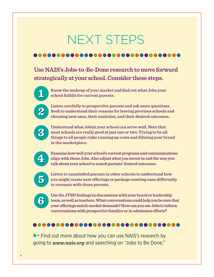## NEXT STEPS

#### , . . . . . . . . . . NGA AA

**Use NAIS's Jobs-to-Be-Done research to move forward strategically at your school. Consider these steps.**



**Know the makeup of your market and find out what Jobs your school fulfills for current parents.**



**Listen carefully to prospective parents and ask more questions. Seek to understand their reasons for leaving previous schools and choosing new ones, their anxieties, and their desired outcomes.**



**Understand what Job(s) your school can serve well. Note that most schools are really good at just one or two. Trying to be all things to all people risks running up costs and diluting your brand in the marketplace.** 



**Examine how well your school's current programs and communications align with those Jobs. Also adjust what you invest in and the way you talk about your school to match parents' desired outcomes.** 



**Listen to unsatisfied parents in other schools to understand how you might create new offerings or package existing ones differently to resonate with those parents.**



**Use the JTBD findings in discussions with your board or leadership team, as well as teachers. What conversations could help you be sure that your offerings match market demands? How can you use Jobs to inform conversations with prospective families or in admission efforts?**

### 

**→ Find out more about how you can use NAIS's research by** going to *www.nais.org* and searching on "Jobs to Be Done."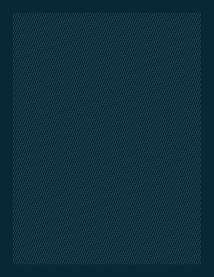